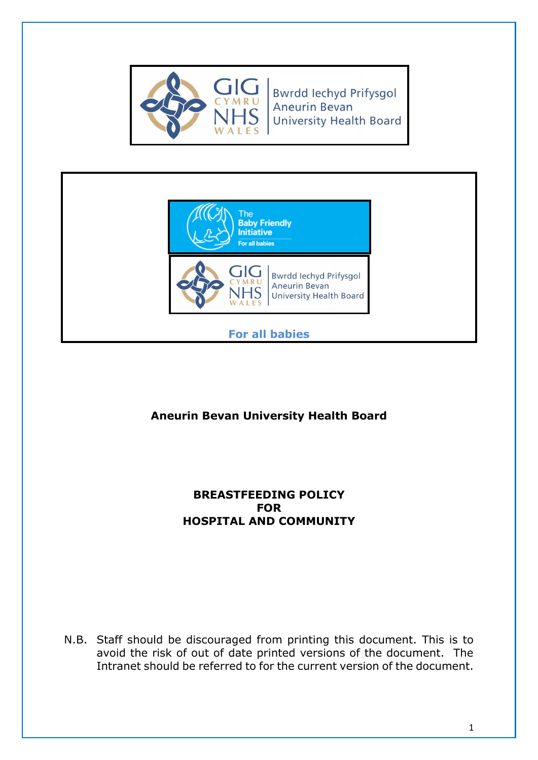

**Bwrdd lechyd Prifysgol Aneurin Bevan University Health Board** 



**For all babies**

# **Aneurin Bevan University Health Board**

### **BREASTFEEDING POLICY FOR HOSPITAL AND COMMUNITY**

N.B. Staff should be discouraged from printing this document. This is to avoid the risk of out of date printed versions of the document. The Intranet should be referred to for the current version of the document.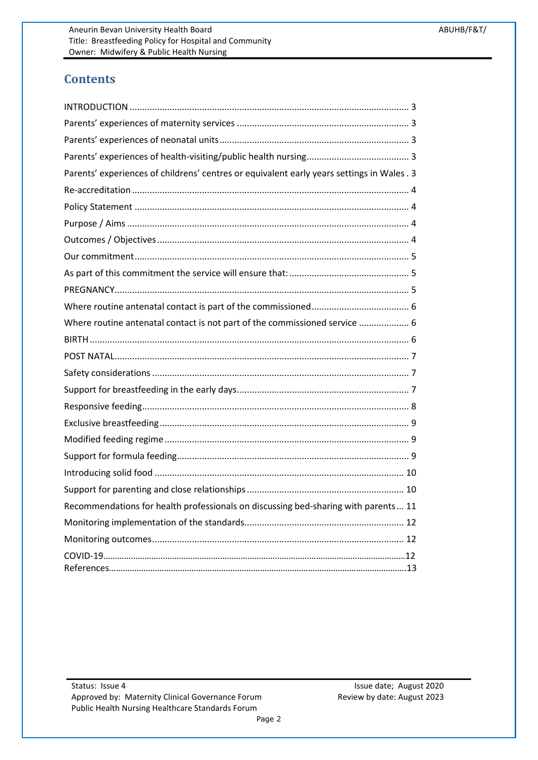# **Contents**

| Parents' experiences of childrens' centres or equivalent early years settings in Wales . 3 |
|--------------------------------------------------------------------------------------------|
|                                                                                            |
|                                                                                            |
|                                                                                            |
|                                                                                            |
|                                                                                            |
|                                                                                            |
|                                                                                            |
|                                                                                            |
| Where routine antenatal contact is not part of the commissioned service  6                 |
|                                                                                            |
|                                                                                            |
|                                                                                            |
|                                                                                            |
|                                                                                            |
|                                                                                            |
|                                                                                            |
|                                                                                            |
|                                                                                            |
|                                                                                            |
| Recommendations for health professionals on discussing bed-sharing with parents 11         |
|                                                                                            |
|                                                                                            |
|                                                                                            |

Review by date: August 2023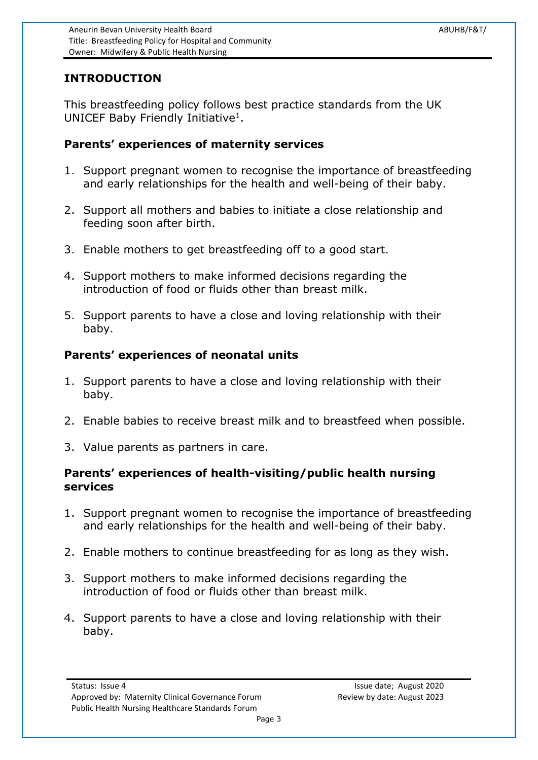### <span id="page-2-0"></span>**INTRODUCTION**

This breastfeeding policy follows best practice standards from the UK UNICEF Baby Friendly Initiative<sup>1</sup>.

#### <span id="page-2-1"></span>**Parents' experiences of maternity services**

- 1. Support pregnant women to recognise the importance of breastfeeding and early relationships for the health and well-being of their baby.
- 2. Support all mothers and babies to initiate a close relationship and feeding soon after birth.
- 3. Enable mothers to get breastfeeding off to a good start.
- 4. Support mothers to make informed decisions regarding the introduction of food or fluids other than breast milk.
- 5. Support parents to have a close and loving relationship with their baby.

### <span id="page-2-2"></span>**Parents' experiences of neonatal units**

- 1. Support parents to have a close and loving relationship with their baby.
- 2. Enable babies to receive breast milk and to breastfeed when possible.
- 3. Value parents as partners in care.

#### <span id="page-2-3"></span>**Parents' experiences of health-visiting/public health nursing services**

- 1. Support pregnant women to recognise the importance of breastfeeding and early relationships for the health and well-being of their baby.
- 2. Enable mothers to continue breastfeeding for as long as they wish.
- 3. Support mothers to make informed decisions regarding the introduction of food or fluids other than breast milk.
- <span id="page-2-4"></span>4. Support parents to have a close and loving relationship with their baby.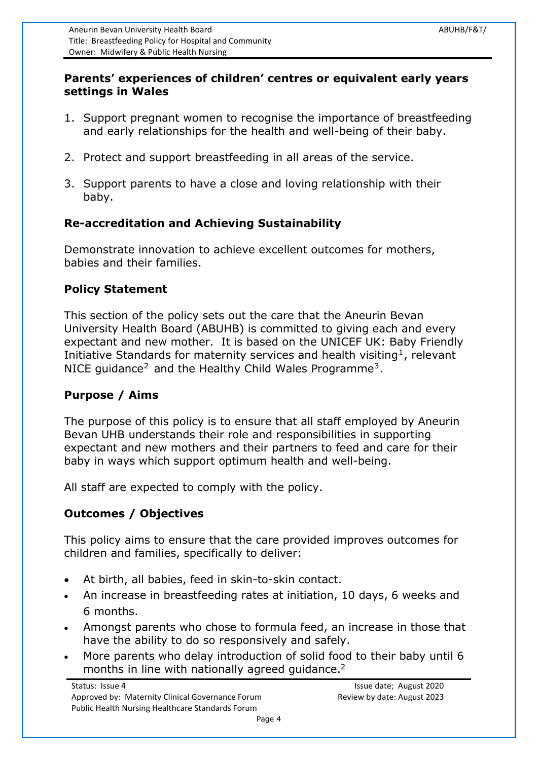### **Parents' experiences of children' centres or equivalent early years settings in Wales**

- 1. Support pregnant women to recognise the importance of breastfeeding and early relationships for the health and well-being of their baby.
- 2. Protect and support breastfeeding in all areas of the service.
- 3. Support parents to have a close and loving relationship with their baby.

### <span id="page-3-0"></span>**Re-accreditation and Achieving Sustainability**

Demonstrate innovation to achieve excellent outcomes for mothers, babies and their families.

#### <span id="page-3-1"></span>**Policy Statement**

This section of the policy sets out the care that the Aneurin Bevan University Health Board (ABUHB) is committed to giving each and every expectant and new mother. It is based on the UNICEF UK: Baby Friendly Initiative Standards for maternity services and health visiting<sup>1</sup>, relevant NICE guidance<sup>[2](#page-12-0)</sup> and the Healthy Child Wales Programme<sup>3</sup>.

### <span id="page-3-2"></span>**Purpose / Aims**

The purpose of this policy is to ensure that all staff employed by Aneurin Bevan UHB understands their role and responsibilities in supporting expectant and new mothers and their partners to feed and care for their baby in ways which support optimum health and well-being.

All staff are expected to comply with the policy.

### <span id="page-3-3"></span>**Outcomes / Objectives**

This policy aims to ensure that the care provided improves outcomes for children and families, specifically to deliver:

- At birth, all babies, feed in skin-to-skin contact.
- An increase in breastfeeding rates at initiation, 10 days, 6 weeks and 6 months.
- Amongst parents who chose to formula feed, an increase in those that have the ability to do so responsively and safely.
- More parents who delay introduction of solid food to their baby until 6 months in line with nationally agreed guidance.<sup>2</sup>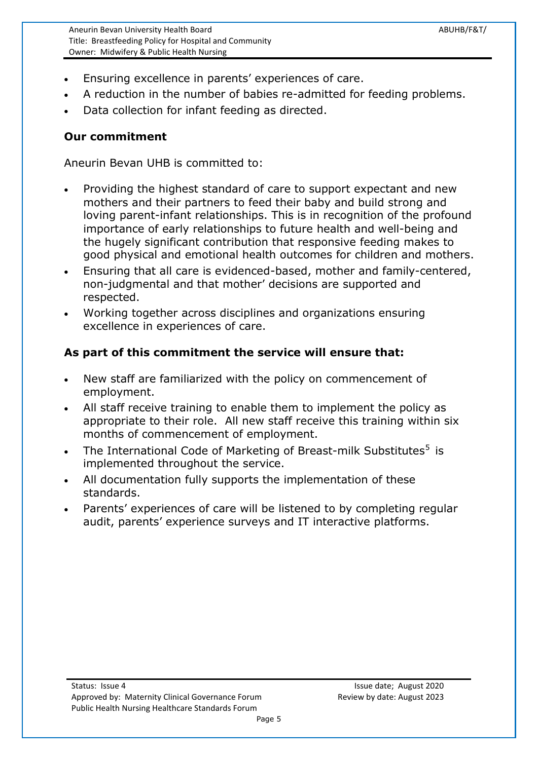Aneurin Bevan University Health Board ABUHB/F&T/ Title: Breastfeeding Policy for Hospital and Community Owner: Midwifery & Public Health Nursing

- Ensuring excellence in parents' experiences of care.
- A reduction in the number of babies re-admitted for feeding problems.
- Data collection for infant feeding as directed.

#### <span id="page-4-0"></span>**Our commitment**

Aneurin Bevan UHB is committed to:

- Providing the highest standard of care to support expectant and new mothers and their partners to feed their baby and build strong and loving parent-infant relationships. This is in recognition of the profound importance of early relationships to future health and well-being and the hugely significant contribution that responsive feeding makes to good physical and emotional health outcomes for children and mothers.
- Ensuring that all care is evidenced-based, mother and family-centered, non-judgmental and that mother' decisions are supported and respected.
- Working together across disciplines and organizations ensuring excellence in experiences of care.

### <span id="page-4-1"></span>**As part of this commitment the service will ensure that:**

- New staff are familiarized with the policy on commencement of employment.
- All staff receive training to enable them to implement the policy as appropriate to their role. All new staff receive this training within six months of commencement of employment.
- <span id="page-4-3"></span>• The International Code of Marketing of Breast-milk Substitutes<sup>[5](#page-4-3)</sup> is implemented throughout the service.
- All documentation fully supports the implementation of these standards.
- <span id="page-4-2"></span> Parents' experiences of care will be listened to by completing regular audit, parents' experience surveys and IT interactive platforms.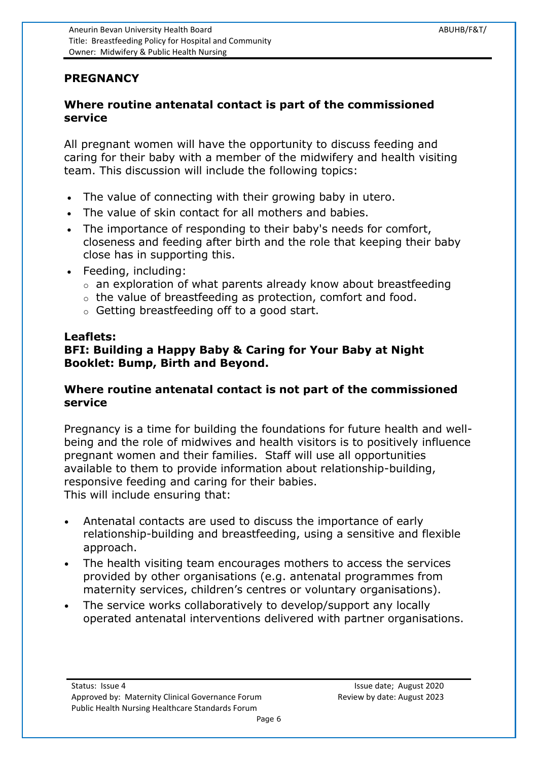### **PREGNANCY**

#### <span id="page-5-0"></span>**Where routine antenatal contact is part of the commissioned service**

All pregnant women will have the opportunity to discuss feeding and caring for their baby with a member of the midwifery and health visiting team. This discussion will include the following topics:

- The value of connecting with their growing baby in utero.
- The value of skin contact for all mothers and babies.
- The importance of responding to their baby's needs for comfort, closeness and feeding after birth and the role that keeping their baby close has in supporting this.
- Feeding, including:
	- o an exploration of what parents already know about breastfeeding
	- o the value of breastfeeding as protection, comfort and food.
	- o Getting breastfeeding off to a good start.

#### **Leaflets:**

### **BFI: Building a Happy Baby & Caring for Your Baby at Night Booklet: Bump, Birth and Beyond.**

### <span id="page-5-1"></span>**Where routine antenatal contact is not part of the commissioned service**

Pregnancy is a time for building the foundations for future health and wellbeing and the role of midwives and health visitors is to positively influence pregnant women and their families. Staff will use all opportunities available to them to provide information about relationship-building, responsive feeding and caring for their babies. This will include ensuring that:

- Antenatal contacts are used to discuss the importance of early relationship-building and breastfeeding, using a sensitive and flexible approach.
- The health visiting team encourages mothers to access the services provided by other organisations (e.g. antenatal programmes from maternity services, children's centres or voluntary organisations).
- <span id="page-5-2"></span>The service works collaboratively to develop/support any locally operated antenatal interventions delivered with partner organisations.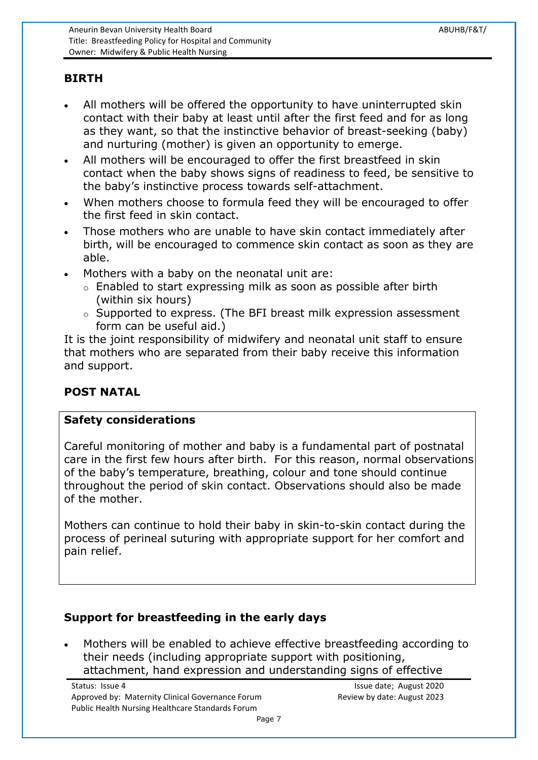## **BIRTH**

- All mothers will be offered the opportunity to have uninterrupted skin contact with their baby at least until after the first feed and for as long as they want, so that the instinctive behavior of breast-seeking (baby) and nurturing (mother) is given an opportunity to emerge.
- All mothers will be encouraged to offer the first breastfeed in skin contact when the baby shows signs of readiness to feed, be sensitive to the baby's instinctive process towards self-attachment.
- When mothers choose to formula feed they will be encouraged to offer the first feed in skin contact.
- Those mothers who are unable to have skin contact immediately after birth, will be encouraged to commence skin contact as soon as they are able.
- Mothers with a baby on the neonatal unit are:
	- o Enabled to start expressing milk as soon as possible after birth (within six hours)
	- o Supported to express. (The BFI breast milk expression assessment form can be useful aid.)

It is the joint responsibility of midwifery and neonatal unit staff to ensure that mothers who are separated from their baby receive this information and support.

### <span id="page-6-0"></span>**POST NATAL**

#### <span id="page-6-1"></span>**Safety considerations**

Careful monitoring of mother and baby is a fundamental part of postnatal care in the first few hours after birth. For this reason, normal observations of the baby's temperature, breathing, colour and tone should continue throughout the period of skin contact. Observations should also be made of the mother.

Mothers can continue to hold their baby in skin-to-skin contact during the process of perineal suturing with appropriate support for her comfort and pain relief.

# <span id="page-6-2"></span>**Support for breastfeeding in the early days**

 Mothers will be enabled to achieve effective breastfeeding according to their needs (including appropriate support with positioning, attachment, hand expression and understanding signs of effective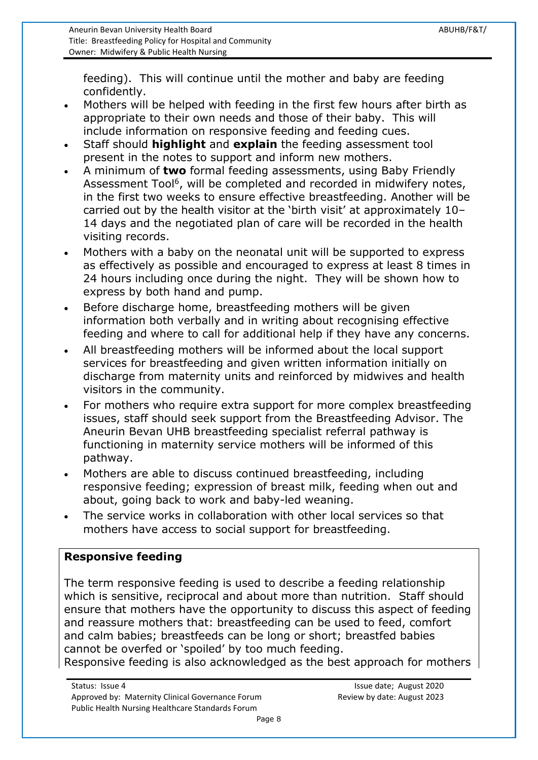feeding). This will continue until the mother and baby are feeding confidently.

- Mothers will be helped with feeding in the first few hours after birth as appropriate to their own needs and those of their baby. This will include information on responsive feeding and feeding cues.
- Staff should **highlight** and **explain** the feeding assessment tool present in the notes to support and inform new mothers.
- A minimum of **two** formal feeding assessments, using Baby Friendly Assessment Tool<sup>6</sup>, will be completed and recorded in midwifery notes, in the first two weeks to ensure effective breastfeeding. Another will be carried out by the health visitor at the 'birth visit' at approximately 10– 14 days and the negotiated plan of care will be recorded in the health visiting records.
- Mothers with a baby on the neonatal unit will be supported to express as effectively as possible and encouraged to express at least 8 times in 24 hours including once during the night. They will be shown how to express by both hand and pump.
- Before discharge home, breastfeeding mothers will be given information both verbally and in writing about recognising effective feeding and where to call for additional help if they have any concerns.
- All breastfeeding mothers will be informed about the local support services for breastfeeding and given written information initially on discharge from maternity units and reinforced by midwives and health visitors in the community.
- For mothers who require extra support for more complex breastfeeding issues, staff should seek support from the Breastfeeding Advisor. The Aneurin Bevan UHB breastfeeding specialist referral pathway is functioning in maternity service mothers will be informed of this pathway.
- Mothers are able to discuss continued breastfeeding, including responsive feeding; expression of breast milk, feeding when out and about, going back to work and baby-led weaning.
- The service works in collaboration with other local services so that mothers have access to social support for breastfeeding.

### <span id="page-7-0"></span>**Responsive feeding**

The term responsive feeding is used to describe a feeding relationship which is sensitive, reciprocal and about more than nutrition. Staff should ensure that mothers have the opportunity to discuss this aspect of feeding and reassure mothers that: breastfeeding can be used to feed, comfort and calm babies; breastfeeds can be long or short; breastfed babies cannot be overfed or 'spoiled' by too much feeding.

Responsive feeding is also acknowledged as the best approach for mothers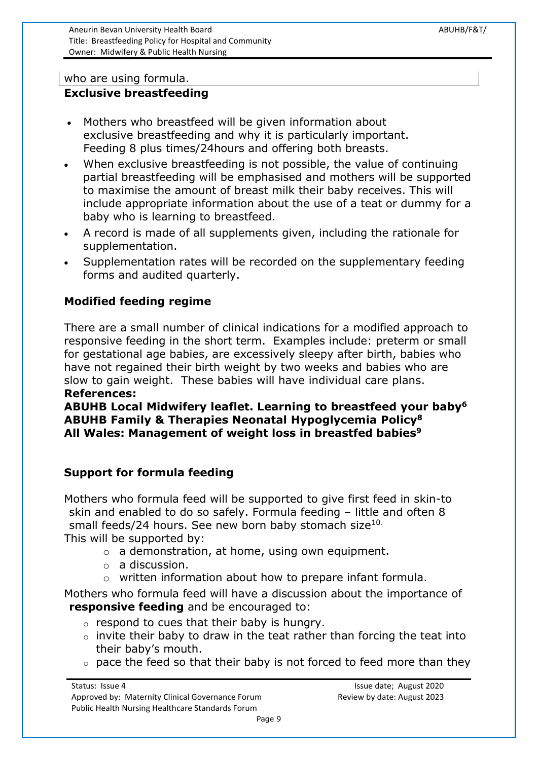Aneurin Bevan University Health Board ABUHB/F&T/ Title: Breastfeeding Policy for Hospital and Community Owner: Midwifery & Public Health Nursing

#### who are using formula.

## <span id="page-8-0"></span>**Exclusive breastfeeding**

- Mothers who breastfeed will be given information about exclusive breastfeeding and why it is particularly important. Feeding 8 plus times/24hours and offering both breasts.
- When exclusive breastfeeding is not possible, the value of continuing partial breastfeeding will be emphasised and mothers will be supported to maximise the amount of breast milk their baby receives. This will include appropriate information about the use of a teat or dummy for a baby who is learning to breastfeed.
- A record is made of all supplements given, including the rationale for supplementation.
- Supplementation rates will be recorded on the supplementary feeding forms and audited quarterly.

#### <span id="page-8-1"></span>**Modified feeding regime**

There are a small number of clinical indications for a modified approach to responsive feeding in the short term. Examples include: preterm or small for gestational age babies, are excessively sleepy after birth, babies who have not regained their birth weight by two weeks and babies who are slow to gain weight. These babies will have individual care plans. **References:**

# **ABUHB Local Midwifery leaflet. Learning to breastfeed your baby<sup>6</sup> ABUHB Family & Therapies Neonatal Hypoglycemia Policy<sup>8</sup> All Wales: Management of weight loss in breastfed babies<sup>9</sup>**

#### <span id="page-8-2"></span>**Support for formula feeding**

Mothers who formula feed will be supported to give first feed in skin-to skin and enabled to do so safely. Formula feeding – little and often 8 small feeds/24 hours. See new born baby stomach size<sup>10.</sup>

This will be supported by:

- $\circ$  a demonstration, at home, using own equipment.
- o a discussion.
- o written information about how to prepare infant formula.

Mothers who formula feed will have a discussion about the importance of **responsive feeding** and be encouraged to:

- $\circ$  respond to cues that their baby is hungry.
- $\circ$  invite their baby to draw in the teat rather than forcing the teat into their baby's mouth.
- $\circ$  pace the feed so that their baby is not forced to feed more than they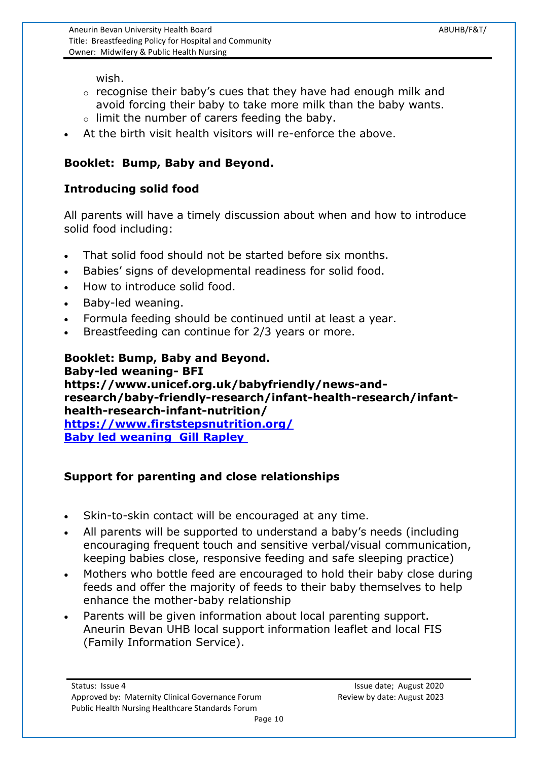wish.

- $\circ$  recognise their baby's cues that they have had enough milk and avoid forcing their baby to take more milk than the baby wants.
- o limit the number of carers feeding the baby.
- At the birth visit health visitors will re-enforce the above.

# **Booklet: Bump, Baby and Beyond.**

# <span id="page-9-0"></span>**Introducing solid food**

All parents will have a timely discussion about when and how to introduce solid food including:

- That solid food should not be started before six months.
- Babies' signs of developmental readiness for solid food.
- How to introduce solid food.
- Baby-led weaning.
- Formula feeding should be continued until at least a year.
- Breastfeeding can continue for 2/3 years or more.

#### **Booklet: Bump, Baby and Beyond. Baby-led weaning- BFI https://www.unicef.org.uk/babyfriendly/news-andresearch/baby-friendly-research/infant-health-research/infanthealth-research-infant-nutrition/ <https://www.firststepsnutrition.org/> Baby led weaning Gill Rapley**

# <span id="page-9-1"></span>**Support for parenting and close relationships**

- Skin-to-skin contact will be encouraged at any time.
- All parents will be supported to understand a baby's needs (including encouraging frequent touch and sensitive verbal/visual communication, keeping babies close, responsive feeding and safe sleeping practice)
- Mothers who bottle feed are encouraged to hold their baby close during feeds and offer the majority of feeds to their baby themselves to help enhance the mother-baby relationship
- Parents will be given information about local parenting support. Aneurin Bevan UHB local support information leaflet and local FIS (Family Information Service).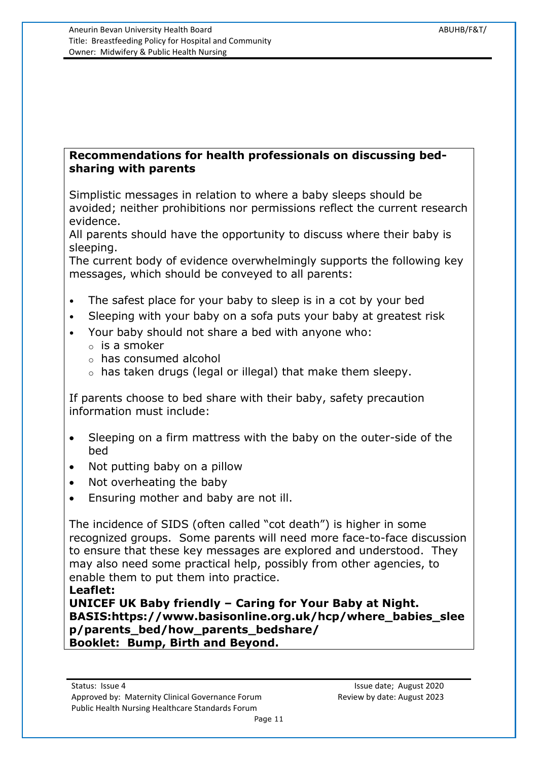#### <span id="page-10-0"></span>**Recommendations for health professionals on discussing bedsharing with parents**

Simplistic messages in relation to where a baby sleeps should be avoided; neither prohibitions nor permissions reflect the current research evidence.

All parents should have the opportunity to discuss where their baby is sleeping.

The current body of evidence overwhelmingly supports the following key messages, which should be conveyed to all parents:

- The safest place for your baby to sleep is in a cot by your bed
- Sleeping with your baby on a sofa puts your baby at greatest risk
- Your baby should not share a bed with anyone who:
	- $\circ$  is a smoker
	- o has consumed alcohol
	- o has taken drugs (legal or illegal) that make them sleepy.

If parents choose to bed share with their baby, safety precaution information must include:

- Sleeping on a firm mattress with the baby on the outer-side of the bed
- Not putting baby on a pillow
- Not overheating the baby
- Ensuring mother and baby are not ill.

The incidence of SIDS (often called "cot death") is higher in some recognized groups. Some parents will need more face-to-face discussion to ensure that these key messages are explored and understood. They may also need some practical help, possibly from other agencies, to enable them to put them into practice.

**Leaflet:** 

<span id="page-10-1"></span>**UNICEF UK Baby friendly – Caring for Your Baby at Night. BASIS:https://www.basisonline.org.uk/hcp/where\_babies\_slee p/parents\_bed/how\_parents\_bedshare/ Booklet: Bump, Birth and Beyond.**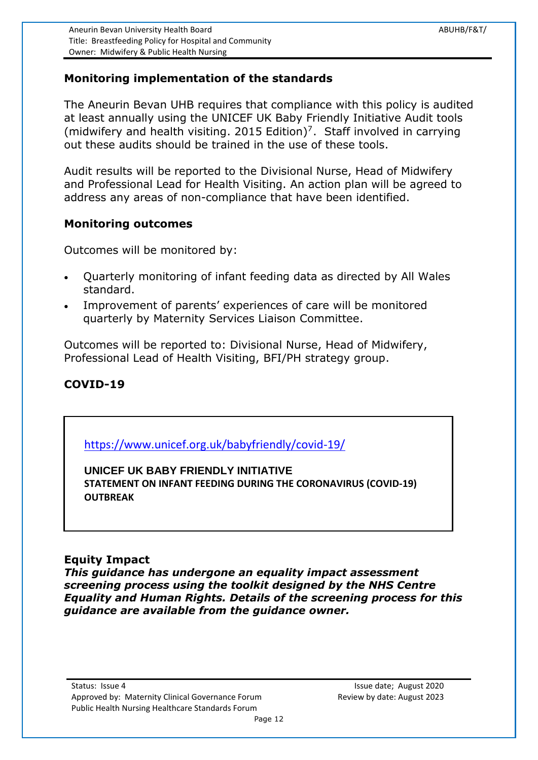### **Monitoring implementation of the standards**

The Aneurin Bevan UHB requires that compliance with this policy is audited at least annually using the UNICEF UK Baby Friendly Initiative Audit tools (midwifery and health visiting. 2015 Edition)<sup>7</sup>. Staff involved in carrying out these audits should be trained in the use of these tools.

Audit results will be reported to the Divisional Nurse, Head of Midwifery and Professional Lead for Health Visiting. An action plan will be agreed to address any areas of non-compliance that have been identified.

#### <span id="page-11-0"></span>**Monitoring outcomes**

Outcomes will be monitored by:

- Quarterly monitoring of infant feeding data as directed by All Wales standard.
- Improvement of parents' experiences of care will be monitored quarterly by Maternity Services Liaison Committee.

Outcomes will be reported to: Divisional Nurse, Head of Midwifery, Professional Lead of Health Visiting, BFI/PH strategy group.

### **COVID-19**

<https://www.unicef.org.uk/babyfriendly/covid-19/>

**UNICEF UK BABY FRIENDLY INITIATIVE STATEMENT ON INFANT FEEDING DURING THE CORONAVIRUS (COVID-19)** 

#### **Equity Impact**

**OUTBREAK**

*This guidance has undergone an equality impact assessment screening process using the toolkit designed by the NHS Centre Equality and Human Rights. Details of the screening process for this guidance are available from the guidance owner.*